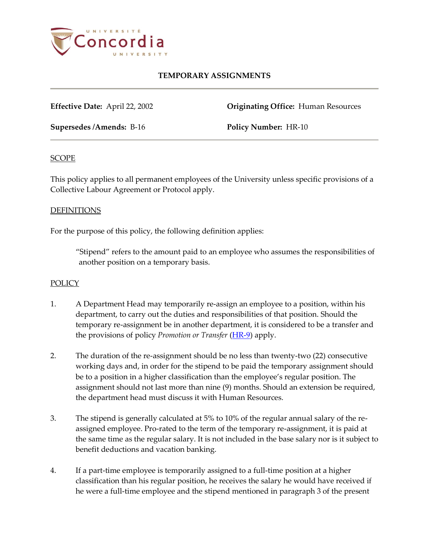

# **TEMPORARY ASSIGNMENTS**

**Effective Date:** April 22, 2002 **Originating Office:** Human Resources

**Supersedes /Amends:** B-16 **Policy Number:** HR-10

#### **SCOPE**

This policy applies to all permanent employees of the University unless specific provisions of a Collective Labour Agreement or Protocol apply.

#### DEFINITIONS

For the purpose of this policy, the following definition applies:

"Stipend" refers to the amount paid to an employee who assumes the responsibilities of another position on a temporary basis.

### **POLICY**

- 1. A Department Head may temporarily re-assign an employee to a position, within his department, to carry out the duties and responsibilities of that position. Should the temporary re-assignment be in another department, it is considered to be a transfer and the provisions of policy *Promotion or Transfer* [\(HR-9\)](http://www.concordia.ca/vpirsg/documents/policies/HR-9.pdf) apply.
- 2. The duration of the re-assignment should be no less than twenty-two (22) consecutive working days and, in order for the stipend to be paid the temporary assignment should be to a position in a higher classification than the employee's regular position. The assignment should not last more than nine (9) months. Should an extension be required, the department head must discuss it with Human Resources.
- 3. The stipend is generally calculated at 5% to 10% of the regular annual salary of the reassigned employee. Pro-rated to the term of the temporary re-assignment, it is paid at the same time as the regular salary. It is not included in the base salary nor is it subject to benefit deductions and vacation banking.
- 4. If a part-time employee is temporarily assigned to a full-time position at a higher classification than his regular position, he receives the salary he would have received if he were a full-time employee and the stipend mentioned in paragraph 3 of the present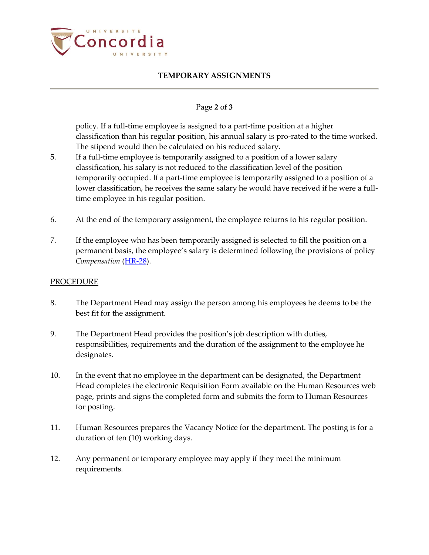

## **TEMPORARY ASSIGNMENTS**

### Page **2** of **3**

policy. If a full-time employee is assigned to a part-time position at a higher classification than his regular position, his annual salary is pro-rated to the time worked. The stipend would then be calculated on his reduced salary.

- 5. If a full-time employee is temporarily assigned to a position of a lower salary classification, his salary is not reduced to the classification level of the position temporarily occupied. If a part-time employee is temporarily assigned to a position of a lower classification, he receives the same salary he would have received if he were a fulltime employee in his regular position.
- 6. At the end of the temporary assignment, the employee returns to his regular position.
- 7. If the employee who has been temporarily assigned is selected to fill the position on a permanent basis, the employee's salary is determined following the provisions of policy *Compensation* [\(HR-28\)](http://www.concordia.ca/vpirsg/documents/policies/HR-28.pdf).

### PROCEDURE

- 8. The Department Head may assign the person among his employees he deems to be the best fit for the assignment.
- 9. The Department Head provides the position's job description with duties, responsibilities, requirements and the duration of the assignment to the employee he designates.
- 10. In the event that no employee in the department can be designated, the Department Head completes the electronic Requisition Form available on the Human Resources web page, prints and signs the completed form and submits the form to Human Resources for posting.
- 11. Human Resources prepares the Vacancy Notice for the department. The posting is for a duration of ten (10) working days.
- 12. Any permanent or temporary employee may apply if they meet the minimum requirements.